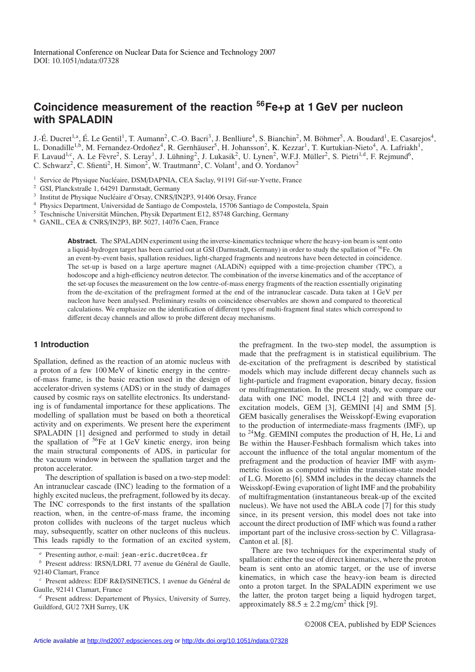# **Coincidence measurement of the reaction 56Fe+p at 1 GeV per nucleon with SPALADIN**

J.-É. Ducret<sup>1,a</sup>, É. Le Gentil<sup>1</sup>, T. Aumann<sup>2</sup>, C.-O. Bacri<sup>3</sup>, J. Benlliure<sup>4</sup>, S. Bianchin<sup>2</sup>, M. Böhmer<sup>5</sup>, A. Boudard<sup>1</sup>, E. Casarejos<sup>4</sup>, L. Donadille<sup>1,b</sup>, M. Fernandez-Ordoñez<sup>4</sup>, R. Gernhäuser<sup>5</sup>, H. Johansson<sup>2</sup>, K. Kezzar<sup>1</sup>, T. Kurtukian-Nieto<sup>4</sup>, A. Lafriakh<sup>1</sup>, F. Lavaud<sup>1, c</sup>, A. Le Fèvre<sup>2</sup>, S. Leray<sup>1</sup>, J. Lühning<sup>2</sup>, J. Lukasik<sup>2</sup>, U. Lynen<sup>2</sup>, W.F.J. Müller<sup>2</sup>, S. Pietri<sup>1,d</sup>, F. Rejmund<sup>6</sup>, C. Schwarz<sup>2</sup>, C. Sfienti<sup>2</sup>, H. Simon<sup>2</sup>, W. Trautmann<sup>2</sup>, C. Volant<sup>1</sup>, and O. Yordanov<sup>2</sup>

- <sup>1</sup> Service de Physique Nucléaire, DSM/DAPNIA, CEA Saclay, 91191 Gif-sur-Yvette, France
- <sup>2</sup> GSI, Planckstraße 1, 64291 Darmstadt, Germany
- <sup>3</sup> Institut de Physique Nucléaire d'Orsay, CNRS/IN2P3, 91406 Orsay, France
- <sup>4</sup> Physics Department, Universidad de Santiago de Compostela, 15706 Santiago de Compostela, Spain
- <sup>5</sup> Teschnische Universität München, Physik Department E12, 85748 Garching, Germany
- <sup>6</sup> GANIL, CEA & CNRS/IN2P3, BP. 5027, 14076 Caen, France

**Abstract.** The SPALADIN experiment using the inverse-kinematics technique where the heavy-ion beam is sent onto a liquid-hydrogen target has been carried out at GSI (Darmstadt, Germany) in order to study the spallation of 56Fe. On an event-by-event basis, spallation residues, light-charged fragments and neutrons have been detected in coincidence. The set-up is based on a large aperture magnet (ALADiN) equipped with a time-projection chamber (TPC), a hodoscope and a high-efficiency neutron detector. The combination of the inverse kinematics and of the acceptance of the set-up focuses the measurement on the low centre-of-mass energy fragments of the reaction essentially originating from the de-excitation of the prefragment formed at the end of the intranuclear cascade. Data taken at 1 GeV per nucleon have been analysed. Preliminary results on coincidence observables are shown and compared to theoretical calculations. We emphasize on the identification of different types of multi-fragment final states which correspond to different decay channels and allow to probe different decay mechanisms.

### **1 Introduction**

Spallation, defined as the reaction of an atomic nucleus with a proton of a few 100 MeV of kinetic energy in the centreof-mass frame, is the basic reaction used in the design of accelerator-driven systems (ADS) or in the study of damages caused by cosmic rays on satellite electronics. Its understanding is of fundamental importance for these applications. The modelling of spallation must be based on both a theoretical activity and on experiments. We present here the experiment SPALADIN [1] designed and performed to study in detail the spallation of  ${}^{56}Fe$  at 1 GeV kinetic energy, iron being the main structural components of ADS, in particular for the vacuum window in between the spallation target and the proton accelerator.

The description of spallation is based on a two-step model: An intranuclear cascade (INC) leading to the formation of a highly excited nucleus, the prefragment, followed by its decay. The INC corresponds to the first instants of the spallation reaction, when, in the centre-of-mass frame, the incoming proton collides with nucleons of the target nucleus which may, subsequently, scatter on other nucleons of this nucleus. This leads rapidly to the formation of an excited system, the prefragment. In the two-step model, the assumption is made that the prefragment is in statistical equilibrium. The de-excitation of the prefragment is described by statistical models which may include different decay channels such as light-particle and fragment evaporation, binary decay, fission or multifragmentation. In the present study, we compare our data with one INC model, INCL4 [2] and with three deexcitation models, GEM [3], GEMINI [4] and SMM [5]. GEM basically generalises the Weisskopf-Ewing evaporation to the production of intermediate-mass fragments (IMF), up to 24Mg. GEMINI computes the production of H, He, Li and Be within the Hauser-Feshbach formalism which takes into account the influence of the total angular momentum of the prefragment and the production of heavier IMF with asymmetric fission as computed within the transition-state model of L.G. Moretto [6]. SMM includes in the decay channels the Weisskopf-Ewing evaporation of light IMF and the probability of multifragmentation (instantaneous break-up of the excited nucleus). We have not used the ABLA code [7] for this study since, in its present version, this model does not take into account the direct production of IMF which was found a rather important part of the inclusive cross-section by C. Villagrasa-Canton et al. [8].

There are two techniques for the experimental study of spallation: either the use of direct kinematics, where the proton beam is sent onto an atomic target, or the use of inverse kinematics, in which case the heavy-ion beam is directed onto a proton target. In the SPALADIN experiment we use the latter, the proton target being a liquid hydrogen target, approximately  $88.5 \pm 2.2$  mg/cm<sup>2</sup> thick [9].

Presenting author, e-mail: jean-eric.ducret@cea.fr

*b* Present address: IRSN/LDRI, 77 avenue du Général de Gaulle, 92140 Clamart, France

<sup>&</sup>lt;sup>c</sup> Present address: EDF R&D/SINETICS, 1 avenue du Général de Gaulle, 92141 Clamart, France

*<sup>d</sup>* Present address: Departement of Physics, University of Surrey, Guildford, GU2 7XH Surrey, UK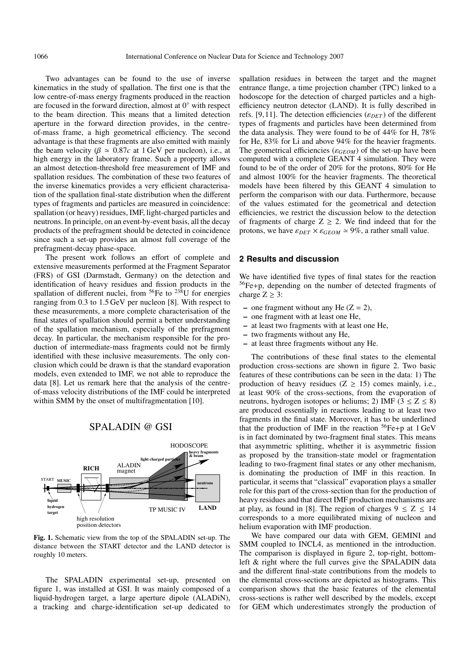Two advantages can be found to the use of inverse kinematics in the study of spallation. The first one is that the low centre-of-mass energy fragments produced in the reaction are focused in the forward direction, almost at  $0°$  with respect to the beam direction. This means that a limited detection aperture in the forward direction provides, in the centreof-mass frame, a high geometrical efficiency. The second advantage is that these fragments are also emitted with mainly the beam velocity ( $\beta \approx 0.87c$  at 1 GeV per nucleon), i.e., at high energy in the laboratory frame. Such a property allows an almost detection-threshold free measurement of IMF and spallation residues. The combination of these two features of the inverse kinematics provides a very efficient characterisation of the spallation final-state distribution when the different types of fragments and particles are measured in coincidence: spallation (or heavy) residues, IMF, light-charged particles and neutrons. In principle, on an event-by-event basis, all the decay products of the prefragment should be detected in coincidence since such a set-up provides an almost full coverage of the prefragment-decay phase-space.

The present work follows an effort of complete and extensive measurements performed at the Fragment Separator (FRS) of GSI (Darmstadt, Germany) on the detection and identification of heavy residues and fission products in the spallation of different nuclei, from  $56Fe$  to  $238U$  for energies ranging from 0.3 to 1.5 GeV per nucleon [8]. With respect to these measurements, a more complete characterisation of the final states of spallation should permit a better understanding of the spallation mechanism, especially of the prefragment decay. In particular, the mechanism responsible for the production of intermediate-mass fragments could not be firmly identified with these inclusive measurements. The only conclusion which could be drawn is that the standard evaporation models, even extended to IMF, we not able to reproduce the data [8]. Let us remark here that the analysis of the centreof-mass velocity distributions of the IMF could be interpreted within SMM by the onset of multifragmentation [10].

### SPALADIN @ GSI



**Fig. 1.** Schematic view from the top of the SPALADIN set-up. The distance between the START detector and the LAND detector is roughly 10 meters.

The SPALADIN experimental set-up, presented on figure 1, was installed at GSI. It was mainly composed of a liquid-hydrogen target, a large aperture dipole (ALADiN), a tracking and charge-identification set-up dedicated to spallation residues in between the target and the magnet entrance flange, a time projection chamber (TPC) linked to a hodoscope for the detection of charged particles and a highefficiency neutron detector (LAND). It is fully described in refs. [9,11]. The detection efficiencies ( $\varepsilon_{DET}$ ) of the different types of fragments and particles have been determined from the data analysis. They were found to be of 44% for H, 78% for He, 83% for Li and above 94% for the heavier fragments. The geometrical efficiencies ( $\varepsilon_{GEOM}$ ) of the set-up have been computed with a complete GEANT 4 simulation. They were found to be of the order of 20% for the protons, 80% for He and almost 100% for the heavier fragments. The theoretical models have been filtered by this GEANT 4 simulation to perform the comparison with our data. Furthermore, because of the values estimated for the geometrical and detection efficiencies, we restrict the discussion below to the detection of fragments of charge  $Z \geq 2$ . We find indeed that for the protons, we have  $\varepsilon_{DET} \times \varepsilon_{GEOM} \simeq 9\%$ , a rather small value.

## **2 Results and discussion**

We have identified five types of final states for the reaction 56Fe+p, depending on the number of detected fragments of charge  $Z > 3$ :

- **–** one fragment without any He (Z = 2),
- **–** one fragment with at least one He,
- **–** at least two fragments with at least one He,
- **–** two fragments without any He,
- **–** at least three fragments without any He.

The contributions of these final states to the elemental production cross-sections are shown in figure 2. Two basic features of these contributions can be seen in the data: 1) The production of heavy residues ( $Z \geq 15$ ) comes mainly, i.e., at least 90% of the cross-sections, from the evaporation of neutrons, hydrogen isotopes or heliums; 2) IMF ( $3 \le Z \le 8$ ) are produced essentially in reactions leading to at least two fragments in the final state. Moreover, it has to be underlined that the production of IMF in the reaction  ${}^{56}Fe + p$  at 1 GeV is in fact dominated by two-fragment final states. This means that asymmetric splitting, whether it is asymmetric fission as proposed by the transition-state model or fragmentation leading to two-fragment final states or any other mechanism, is dominating the production of IMF in this reaction. In particular, it seems that "classical" evaporation plays a smaller role for this part of the cross-section than for the production of heavy residues and that direct IMF production mechanisms are at play, as found in [8]. The region of charges  $9 \le Z \le 14$ corresponds to a more equilibrated mixing of nucleon and helium evaporation with IMF production.

We have compared our data with GEM, GEMINI and SMM coupled to INCL4, as mentioned in the introduction. The comparison is displayed in figure 2, top-right, bottomleft & right where the full curves give the SPALADIN data and the different final-state contributions from the models to the elemental cross-sections are depicted as histograms. This comparison shows that the basic features of the elemental cross-sections is rather well described by the models, except for GEM which underestimates strongly the production of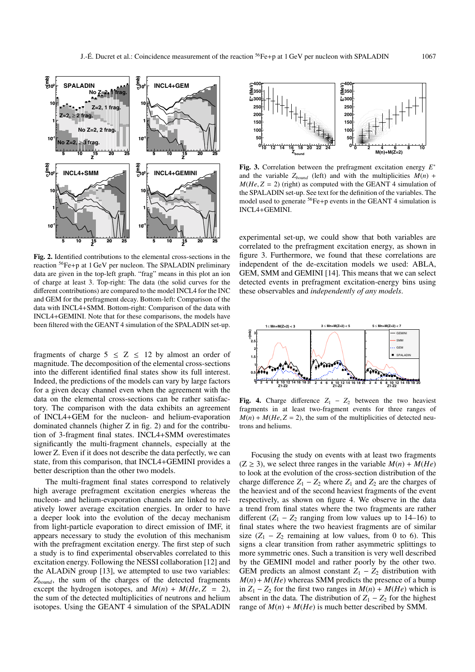

**Fig. 2.** Identified contributions to the elemental cross-sections in the reaction 56Fe+p at 1 GeV per nucleon. The SPALADIN preliminary data are given in the top-left graph. "frag" means in this plot an ion of charge at least 3. Top-right: The data (the solid curves for the different contributions) are compared to the model INCL4 for the INC and GEM for the prefragment decay. Bottom-left: Comparison of the data with INCL4+SMM. Bottom-right: Comparison of the data with INCL4+GEMINI. Note that for these comparisons, the models have been filtered with the GEANT 4 simulation of the SPALADIN set-up.

fragments of charge  $5 \le Z \le 12$  by almost an order of magnitude. The decomposition of the elemental cross-sections into the different identified final states show its full interest. Indeed, the predictions of the models can vary by large factors for a given decay channel even when the agreement with the data on the elemental cross-sections can be rather satisfactory. The comparison with the data exhibits an agreement of INCL4+GEM for the nucleon- and helium-evaporation dominated channels (higher Z in fig. 2) and for the contribution of 3-fragment final states. INCL4+SMM overestimates significantly the multi-fragment channels, especially at the lower Z. Even if it does not describe the data perfectly, we can state, from this comparison, that INCL4+GEMINI provides a better description than the other two models.

The multi-fragment final states correspond to relatively high average prefragment excitation energies whereas the nucleon- and helium-evaporation channels are linked to relatively lower average excitation energies. In order to have a deeper look into the evolution of the decay mechanism from light-particle evaporation to direct emission of IMF, it appears necessary to study the evolution of this mechanism with the prefragment excitation energy. The first step of such a study is to find experimental observables correlated to this excitation energy. Following the NESSI collaboration [12] and the ALADiN group [13], we attempted to use two variables: *Zbound*, the sum of the charges of the detected fragments except the hydrogen isotopes, and  $M(n) + M(He, Z = 2)$ , the sum of the detected multiplicities of neutrons and helium isotopes. Using the GEANT 4 simulation of the SPALADIN



**Fig. 3.** Correlation between the prefragment excitation energy *E*<sup>∗</sup> and the variable  $Z_{bound}$  (left) and with the multiplicities  $M(n)$  +  $M(He, Z = 2)$  (right) as computed with the GEANT 4 simulation of the SPALADIN set-up. See text for the definition of the variables. The model used to generate <sup>56</sup>Fe+p events in the GEANT 4 simulation is INCL4+GEMINI.

experimental set-up, we could show that both variables are correlated to the prefragment excitation energy, as shown in figure 3. Furthermore, we found that these correlations are independent of the de-excitation models we used: ABLA, GEM, SMM and GEMINI [14]. This means that we can select detected events in prefragment excitation-energy bins using these observables and *independently of any models*.



**Fig. 4.** Charge difference  $Z_1 - Z_2$  between the two heaviest fragments in at least two-fragment events for three ranges of  $M(n) + M(He, Z = 2)$ , the sum of the multiplicities of detected neutrons and heliums.

Focusing the study on events with at least two fragments  $(Z \ge 3)$ , we select three ranges in the variable  $M(n) + M(He)$ to look at the evolution of the cross-section distribution of the charge difference  $Z_1 - Z_2$  where  $Z_1$  and  $Z_2$  are the charges of the heaviest and of the second heaviest fragments of the event respectively, as shown on figure 4. We observe in the data a trend from final states where the two fragments are rather different  $(Z_1 - Z_2)$  ranging from low values up to 14–16) to final states where the two heaviest fragments are of similar size  $(Z_1 - Z_2)$  remaining at low values, from 0 to 6). This signs a clear transition from rather asymmetric splittings to more symmetric ones. Such a transition is very well described by the GEMINI model and rather poorly by the other two. GEM predicts an almost constant  $Z_1 - Z_2$  distribution with  $M(n) + M(He)$  whereas SMM predicts the presence of a bump in *Z*<sub>1</sub> − *Z*<sub>2</sub> for the first two ranges in *M*(*n*) + *M*(*He*) which is absent in the data. The distribution of  $Z_1 - Z_2$  for the highest range of  $M(n) + M(He)$  is much better described by SMM.